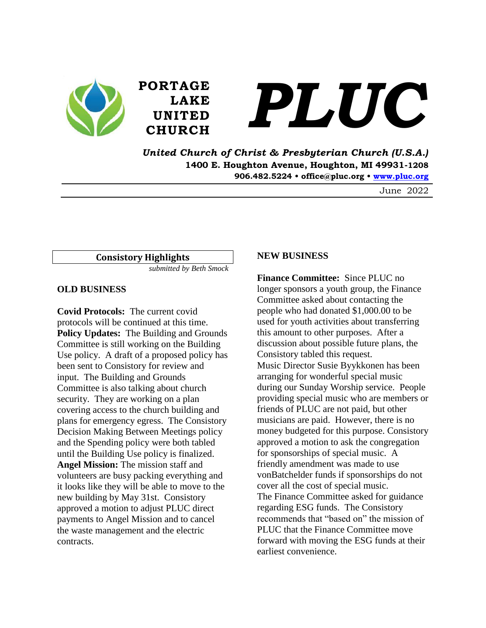



*United Church of Christ & Presbyterian Church (U.S.A.)* **1400 E. Houghton Avenue, Houghton, MI 49931-1208 906.482.5224 • office@pluc.org • [www.pluc.org](http://www.pluc.org/)**

June 2022

**Consistory Highlights**

*submitted by Beth Smock*

**PORTAGE**

**LAKE**

**UNITED**

#### **OLD BUSINESS**

**Covid Protocols:** The current covid protocols will be continued at this time. **Policy Updates:** The Building and Grounds Committee is still working on the Building Use policy. A draft of a proposed policy has been sent to Consistory for review and input. The Building and Grounds Committee is also talking about church security. They are working on a plan covering access to the church building and plans for emergency egress. The Consistory Decision Making Between Meetings policy and the Spending policy were both tabled until the Building Use policy is finalized. **Angel Mission:** The mission staff and volunteers are busy packing everything and it looks like they will be able to move to the new building by May 31st. Consistory approved a motion to adjust PLUC direct payments to Angel Mission and to cancel the waste management and the electric contracts.

#### **NEW BUSINESS**

**Finance Committee:** Since PLUC no longer sponsors a youth group, the Finance Committee asked about contacting the people who had donated \$1,000.00 to be used for youth activities about transferring this amount to other purposes. After a discussion about possible future plans, the Consistory tabled this request. Music Director Susie Byykkonen has been arranging for wonderful special music during our Sunday Worship service. People providing special music who are members or friends of PLUC are not paid, but other musicians are paid. However, there is no money budgeted for this purpose. Consistory approved a motion to ask the congregation for sponsorships of special music. A friendly amendment was made to use vonBatchelder funds if sponsorships do not cover all the cost of special music. The Finance Committee asked for guidance regarding ESG funds. The Consistory recommends that "based on" the mission of PLUC that the Finance Committee move forward with moving the ESG funds at their earliest convenience.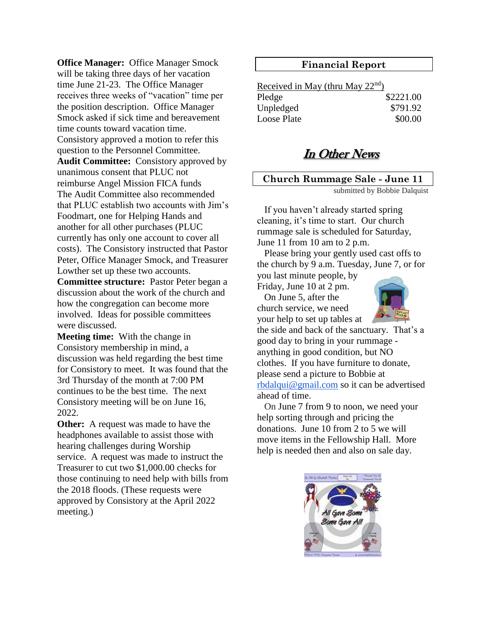**Office Manager:** Office Manager Smock will be taking three days of her vacation time June 21-23. The Office Manager receives three weeks of "vacation" time per the position description. Office Manager Smock asked if sick time and bereavement time counts toward vacation time. Consistory approved a motion to refer this question to the Personnel Committee.

**Audit Committee:** Consistory approved by unanimous consent that PLUC not reimburse Angel Mission FICA funds The Audit Committee also recommended that PLUC establish two accounts with Jim's Foodmart, one for Helping Hands and another for all other purchases (PLUC currently has only one account to cover all costs). The Consistory instructed that Pastor Peter, Office Manager Smock, and Treasurer Lowther set up these two accounts.

**Committee structure:** Pastor Peter began a discussion about the work of the church and how the congregation can become more involved. Ideas for possible committees were discussed.

**Meeting time:** With the change in Consistory membership in mind, a discussion was held regarding the best time for Consistory to meet. It was found that the 3rd Thursday of the month at 7:00 PM continues to be the best time. The next Consistory meeting will be on June 16, 2022.

**Other:** A request was made to have the headphones available to assist those with hearing challenges during Worship service. A request was made to instruct the Treasurer to cut two \$1,000.00 checks for those continuing to need help with bills from the 2018 floods. (These requests were approved by Consistory at the April 2022 meeting.)

## **Financial Report**

Received in May (thru May 22nd) Pledge \$2221.00 Unpledged  $$791.92$ Loose Plate  $$00.00$ 

# In Other News

# **Church Rummage Sale - June 11**

submitted by Bobbie Dalquist

 If you haven't already started spring cleaning, it's time to start. Our church rummage sale is scheduled for Saturday, June 11 from 10 am to 2 p.m.

 Please bring your gently used cast offs to the church by 9 a.m. Tuesday, June 7, or for you last minute people, by

Friday, June 10 at 2 pm.

 On June 5, after the church service, we need your help to set up tables at



the side and back of the sanctuary. That's a good day to bring in your rummage anything in good condition, but NO clothes. If you have furniture to donate, please send a picture to Bobbie at [rbdalqui@gmail.com](mailto:rbdalqui@gmail.com) so it can be advertised ahead of time.

 On June 7 from 9 to noon, we need your help sorting through and pricing the donations. June 10 from 2 to 5 we will move items in the Fellowship Hall. More help is needed then and also on sale day.

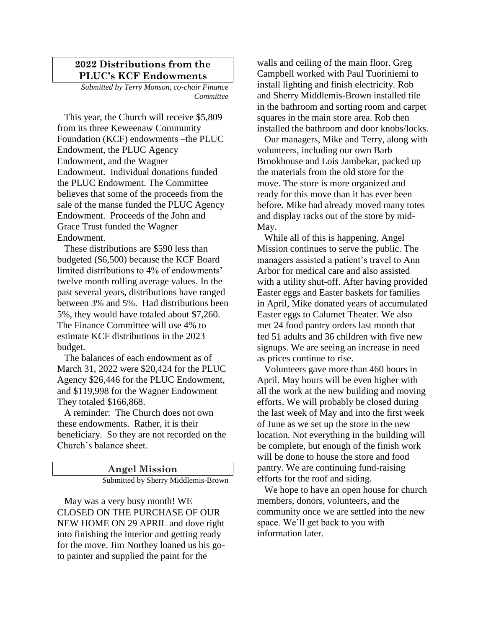### **2022 Distributions from the PLUC's KCF Endowments**

*Submitted by Terry Monson, co-chair Finance Committee*

 This year, the Church will receive \$5,809 from its three Keweenaw Community Foundation (KCF) endowments –the PLUC Endowment, the PLUC Agency Endowment, and the Wagner Endowment. Individual donations funded the PLUC Endowment. The Committee believes that some of the proceeds from the sale of the manse funded the PLUC Agency Endowment. Proceeds of the John and Grace Trust funded the Wagner Endowment.

 These distributions are \$590 less than budgeted (\$6,500) because the KCF Board limited distributions to 4% of endowments' twelve month rolling average values. In the past several years, distributions have ranged between 3% and 5%. Had distributions been 5%, they would have totaled about \$7,260. The Finance Committee will use 4% to estimate KCF distributions in the 2023 budget.

 The balances of each endowment as of March 31, 2022 were \$20,424 for the PLUC Agency \$26,446 for the PLUC Endowment, and \$119,998 for the Wagner Endowment They totaled \$166,868.

 A reminder: The Church does not own these endowments. Rather, it is their beneficiary. So they are not recorded on the Church's balance sheet.

> **Angel Mission** Submitted by Sherry Middlemis-Brown

 May was a very busy month! WE CLOSED ON THE PURCHASE OF OUR NEW HOME ON 29 APRIL and dove right into finishing the interior and getting ready for the move. Jim Northey loaned us his goto painter and supplied the paint for the

walls and ceiling of the main floor. Greg Campbell worked with Paul Tuoriniemi to install lighting and finish electricity. Rob and Sherry Middlemis-Brown installed tile in the bathroom and sorting room and carpet squares in the main store area. Rob then installed the bathroom and door knobs/locks.

 Our managers, Mike and Terry, along with volunteers, including our own Barb Brookhouse and Lois Jambekar, packed up the materials from the old store for the move. The store is more organized and ready for this move than it has ever been before. Mike had already moved many totes and display racks out of the store by mid-May.

 While all of this is happening, Angel Mission continues to serve the public. The managers assisted a patient's travel to Ann Arbor for medical care and also assisted with a utility shut-off. After having provided Easter eggs and Easter baskets for families in April, Mike donated years of accumulated Easter eggs to Calumet Theater. We also met 24 food pantry orders last month that fed 51 adults and 36 children with five new signups. We are seeing an increase in need as prices continue to rise.

 Volunteers gave more than 460 hours in April. May hours will be even higher with all the work at the new building and moving efforts. We will probably be closed during the last week of May and into the first week of June as we set up the store in the new location. Not everything in the building will be complete, but enough of the finish work will be done to house the store and food pantry. We are continuing fund-raising efforts for the roof and siding.

 We hope to have an open house for church members, donors, volunteers, and the community once we are settled into the new space. We'll get back to you with information later.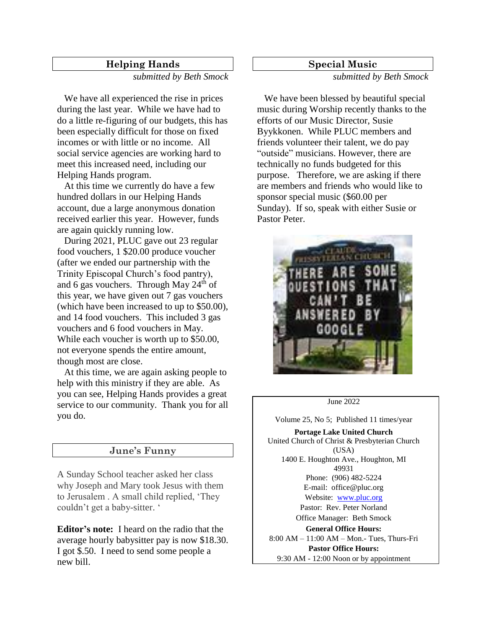### **Helping Hands**

*submitted by Beth Smock*

We have all experienced the rise in prices during the last year. While we have had to do a little re-figuring of our budgets, this has been especially difficult for those on fixed incomes or with little or no income. All social service agencies are working hard to meet this increased need, including our Helping Hands program.

 At this time we currently do have a few hundred dollars in our Helping Hands account, due a large anonymous donation received earlier this year. However, funds are again quickly running low.

 During 2021, PLUC gave out 23 regular food vouchers, 1 \$20.00 produce voucher (after we ended our partnership with the Trinity Episcopal Church's food pantry), and 6 gas vouchers. Through May  $24<sup>th</sup>$  of this year, we have given out 7 gas vouchers (which have been increased to up to \$50.00), and 14 food vouchers. This included 3 gas vouchers and 6 food vouchers in May. While each voucher is worth up to \$50.00, not everyone spends the entire amount, though most are close.

 At this time, we are again asking people to help with this ministry if they are able. As you can see, Helping Hands provides a great service to our community. Thank you for all you do.

### **June's Funny**

A Sunday School teacher asked her class why Joseph and Mary took Jesus with them to Jerusalem . A small child replied, 'They couldn't get a baby-sitter. '

**Editor's note:** I heard on the radio that the average hourly babysitter pay is now \$18.30. I got \$.50. I need to send some people a new bill.

#### **Special Music**

*submitted by Beth Smock*

 We have been blessed by beautiful special music during Worship recently thanks to the efforts of our Music Director, Susie Byykkonen. While PLUC members and friends volunteer their talent, we do pay "outside" musicians. However, there are technically no funds budgeted for this purpose. Therefore, we are asking if there are members and friends who would like to sponsor special music (\$60.00 per Sunday). If so, speak with either Susie or Pastor Peter.



June 2022

Volume 25, No 5; Published 11 times/year

**Portage Lake United Church** United Church of Christ & Presbyterian Church (USA) 1400 E. Houghton Ave., Houghton, MI 49931 Phone: (906) 482-5224 E-mail: office@pluc.org Website: [www.pluc.org](http://www.pluc.org/) Pastor: Rev. Peter Norland Office Manager: Beth Smock **General Office Hours:**  8:00 AM – 11:00 AM – Mon.- Tues, Thurs-Fri **Pastor Office Hours:** 9:30 AM - 12:00 Noon or by appointment